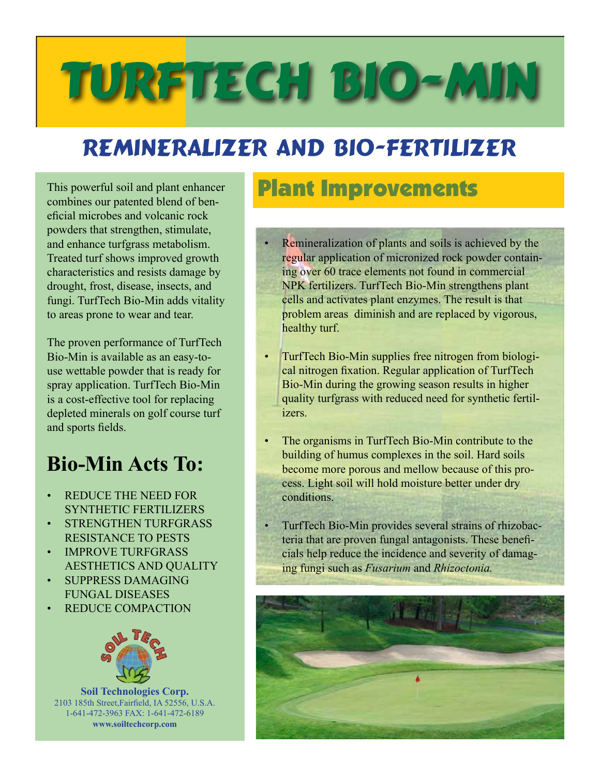# TURFTECH BIO-MIN

## REMINERALIZER AND BIO-fertilizer

This powerful soil and plant enhancer combines our patented blend of beneficial microbes and volcanic rock powders that strengthen, stimulate, and enhance turfgrass metabolism. Treated turf shows improved growth characteristics and resists damage by drought, frost, disease, insects, and fungi. TurfTech Bio-Min adds vitality to areas prone to wear and tear.

The proven performance of TurfTech Bio-Min is available as an easy-touse wettable powder that is ready for spray application. TurfTech Bio-Min is a cost-effective tool for replacing depleted minerals on golf course turf and sports fields.

### **Bio-Min Acts To:**

- REDUCE THE NEED FOR SYNTHETIC FERTILIZERS
- STRENGTHEN TURFGRASS RESISTANCE TO PESTS
- IMPROVE TURFGRASS AESTHETICS AND QUALITY
- SUPPRESS DAMAGING FUNGAL DISEASES
- REDUCE COMPACTION



**Soil Technologies Corp.** 2103 185th Street,Fairfield, IA 52556, U.S.A. 1-641-472-3963 FAX: 1-641-472-6189 **www.soiltechcorp.com**

### Plant Improvements

- Remineralization of plants and soils is achieved by the regular application of micronized rock powder containing over 60 trace elements not found in commercial NPK fertilizers. TurfTech Bio-Min strengthens plant cells and activates plant enzymes. The result is that problem areas diminish and are replaced by vigorous, healthy turf.
- TurfTech Bio-Min supplies free nitrogen from biological nitrogen fixation. Regular application of TurfTech Bio-Min during the growing season results in higher quality turfgrass with reduced need for synthetic fertilizers.
- The organisms in TurfTech Bio-Min contribute to the building of humus complexes in the soil. Hard soils become more porous and mellow because of this process. Light soil will hold moisture better under dry conditions.
- TurfTech Bio-Min provides several strains of rhizobacteria that are proven fungal antagonists. These beneficials help reduce the incidence and severity of damaging fungi such as *Fusarium* and *Rhizoctonia.*